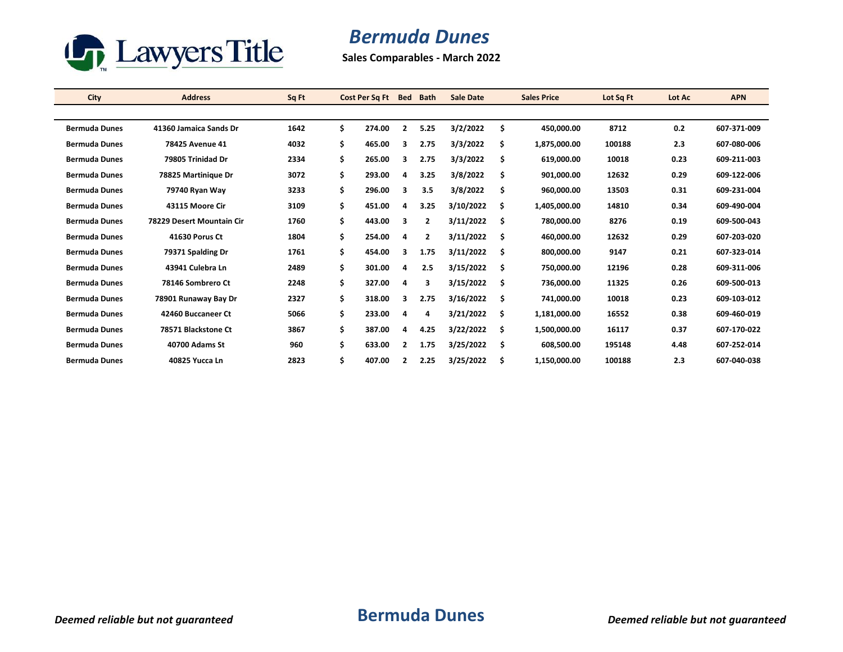

## *Bermuda Dunes*

**Sales Comparables - March 2022**

| <b>City</b>          | <b>Address</b>            | Sq Ft | Cost Per Sq Ft | <b>Bed</b>   | <b>Bath</b>    | <b>Sale Date</b> |     | <b>Sales Price</b> | Lot Sq Ft | Lot Ac | <b>APN</b>  |
|----------------------|---------------------------|-------|----------------|--------------|----------------|------------------|-----|--------------------|-----------|--------|-------------|
|                      |                           |       |                |              |                |                  |     |                    |           |        |             |
| <b>Bermuda Dunes</b> | 41360 Jamaica Sands Dr    | 1642  | \$<br>274.00   | $\mathbf{2}$ | 5.25           | 3/2/2022         | \$  | 450,000.00         | 8712      | 0.2    | 607 371 009 |
| <b>Bermuda Dunes</b> | 78425 Avenue 41           | 4032  | \$<br>465.00   | 3            | 2.75           | 3/3/2022         | \$  | 1,875,000.00       | 100188    | 2.3    | 607-080-006 |
| <b>Bermuda Dunes</b> | 79805 Trinidad Dr         | 2334  | \$<br>265.00   | 3            | 2.75           | 3/3/2022         | \$  | 619,000.00         | 10018     | 0.23   | 609-211-003 |
| <b>Bermuda Dunes</b> | 78825 Martinique Dr       | 3072  | \$<br>293.00   | 4            | 3.25           | 3/8/2022         | \$  | 901,000.00         | 12632     | 0.29   | 609-122-006 |
| <b>Bermuda Dunes</b> | 79740 Ryan Way            | 3233  | \$<br>296.00   | 3            | 3.5            | 3/8/2022         | \$  | 960,000.00         | 13503     | 0.31   | 609-231-004 |
| <b>Bermuda Dunes</b> | 43115 Moore Cir           | 3109  | \$<br>451.00   | 4            | 3.25           | 3/10/2022        | \$  | 1,405,000.00       | 14810     | 0.34   | 609 490 004 |
| <b>Bermuda Dunes</b> | 78229 Desert Mountain Cir | 1760  | \$<br>443.00   | 3            | $\overline{2}$ | 3/11/2022        | \$  | 780.000.00         | 8276      | 0.19   | 609-500-043 |
| <b>Bermuda Dunes</b> | 41630 Porus Ct            | 1804  | \$<br>254.00   | 4            | $\overline{2}$ | 3/11/2022        | \$  | 460.000.00         | 12632     | 0.29   | 607-203-020 |
| <b>Bermuda Dunes</b> | 79371 Spalding Dr         | 1761  | \$<br>454.00   | 3            | 1.75           | 3/11/2022        | \$  | 800,000.00         | 9147      | 0.21   | 607-323-014 |
| <b>Bermuda Dunes</b> | 43941 Culebra Ln          | 2489  | \$<br>301.00   | 4            | 2.5            | 3/15/2022        | \$  | 750.000.00         | 12196     | 0.28   | 609-311-006 |
| <b>Bermuda Dunes</b> | 78146 Sombrero Ct         | 2248  | \$<br>327.00   | 4            | 3              | 3/15/2022        | \$  | 736,000.00         | 11325     | 0.26   | 609-500-013 |
| <b>Bermuda Dunes</b> | 78901 Runaway Bay Dr      | 2327  | \$<br>318.00   | 3            | 2.75           | 3/16/2022        | \$  | 741,000.00         | 10018     | 0.23   | 609-103-012 |
| <b>Bermuda Dunes</b> | 42460 Buccaneer Ct        | 5066  | \$<br>233.00   | 4            | 4              | 3/21/2022        | Ŝ.  | 1,181,000.00       | 16552     | 0.38   | 609-460-019 |
| <b>Bermuda Dunes</b> | 78571 Blackstone Ct       | 3867  | \$<br>387.00   | 4            | 4.25           | 3/22/2022        | \$. | 1,500,000.00       | 16117     | 0.37   | 607-170-022 |
| <b>Bermuda Dunes</b> | 40700 Adams St            | 960   | \$<br>633.00   | $\mathbf{2}$ | 1.75           | 3/25/2022        | \$  | 608.500.00         | 195148    | 4.48   | 607-252-014 |
| <b>Bermuda Dunes</b> | 40825 Yucca Ln            | 2823  | \$<br>407.00   |              | 2.25           | 3/25/2022        | Ś   | 1,150,000.00       | 100188    | 2.3    | 607-040-038 |
|                      |                           |       |                |              |                |                  |     |                    |           |        |             |